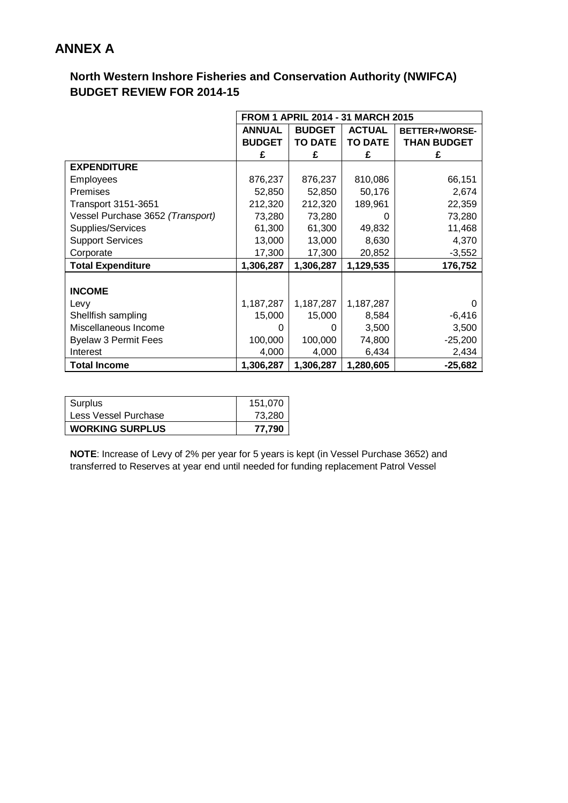## **ANNEX A**

## **North Western Inshore Fisheries and Conservation Authority (NWIFCA) BUDGET REVIEW FOR 2014-15**

|                                  | <b>FROM 1 APRIL 2014 - 31 MARCH 2015</b> |                |                |                    |  |  |
|----------------------------------|------------------------------------------|----------------|----------------|--------------------|--|--|
|                                  | <b>ANNUAL</b>                            | <b>BUDGET</b>  | <b>ACTUAL</b>  | BETTER+/WORSE-     |  |  |
|                                  | <b>BUDGET</b>                            | <b>TO DATE</b> | <b>TO DATE</b> | <b>THAN BUDGET</b> |  |  |
|                                  | £                                        | £              | £              | £                  |  |  |
| <b>EXPENDITURE</b>               |                                          |                |                |                    |  |  |
| <b>Employees</b>                 | 876,237                                  | 876,237        | 810,086        | 66,151             |  |  |
| <b>Premises</b>                  | 52,850                                   | 52,850         | 50,176         | 2,674              |  |  |
| <b>Transport 3151-3651</b>       | 212,320                                  | 212,320        | 189,961        | 22,359             |  |  |
| Vessel Purchase 3652 (Transport) | 73,280                                   | 73,280         | $\Omega$       | 73,280             |  |  |
| Supplies/Services                | 61,300                                   | 61,300         | 49,832         | 11,468             |  |  |
| <b>Support Services</b>          | 13,000                                   | 13,000         | 8,630          | 4,370              |  |  |
| Corporate                        | 17,300                                   | 17,300         | 20,852         | $-3,552$           |  |  |
| <b>Total Expenditure</b>         | 1,306,287                                | 1,306,287      | 1,129,535      | 176,752            |  |  |
|                                  |                                          |                |                |                    |  |  |
| <b>INCOME</b>                    |                                          |                |                |                    |  |  |
| Levy                             | 1,187,287                                | 1,187,287      | 1,187,287      |                    |  |  |
| Shellfish sampling               | 15,000                                   | 15,000         | 8,584          | $-6,416$           |  |  |
| Miscellaneous Income             | 0                                        | 0              | 3,500          | 3,500              |  |  |
| <b>Byelaw 3 Permit Fees</b>      | 100,000                                  | 100,000        | 74,800         | $-25,200$          |  |  |
| Interest                         | 4,000                                    | 4,000          | 6,434          | 2,434              |  |  |
| <b>Total Income</b>              | 1,306,287                                | 1,306,287      | 1,280,605      | $-25,682$          |  |  |

| 73.280  |
|---------|
| 151.070 |
|         |

**NOTE**: Increase of Levy of 2% per year for 5 years is kept (in Vessel Purchase 3652) and transferred to Reserves at year end until needed for funding replacement Patrol Vessel